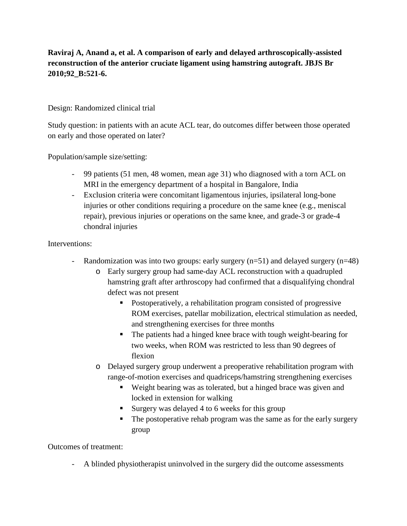# **Raviraj A, Anand a, et al. A comparison of early and delayed arthroscopically-assisted reconstruction of the anterior cruciate ligament using hamstring autograft. JBJS Br 2010;92\_B:521-6.**

## Design: Randomized clinical trial

Study question: in patients with an acute ACL tear, do outcomes differ between those operated on early and those operated on later?

## Population/sample size/setting:

- 99 patients (51 men, 48 women, mean age 31) who diagnosed with a torn ACL on MRI in the emergency department of a hospital in Bangalore, India
- Exclusion criteria were concomitant ligamentous injuries, ipsilateral long-bone injuries or other conditions requiring a procedure on the same knee (e.g., meniscal repair), previous injuries or operations on the same knee, and grade-3 or grade-4 chondral injuries

## Interventions:

- Randomization was into two groups: early surgery (n=51) and delayed surgery (n=48)
	- o Early surgery group had same-day ACL reconstruction with a quadrupled hamstring graft after arthroscopy had confirmed that a disqualifying chondral defect was not present
		- Postoperatively, a rehabilitation program consisted of progressive ROM exercises, patellar mobilization, electrical stimulation as needed, and strengthening exercises for three months
		- The patients had a hinged knee brace with tough weight-bearing for two weeks, when ROM was restricted to less than 90 degrees of flexion
	- o Delayed surgery group underwent a preoperative rehabilitation program with range-of-motion exercises and quadriceps/hamstring strengthening exercises
		- Weight bearing was as tolerated, but a hinged brace was given and locked in extension for walking
		- Surgery was delayed 4 to 6 weeks for this group
		- The postoperative rehab program was the same as for the early surgery group

### Outcomes of treatment:

- A blinded physiotherapist uninvolved in the surgery did the outcome assessments